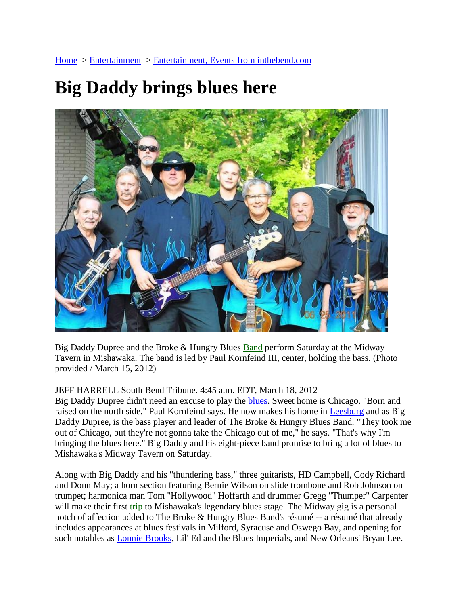## **Big Daddy brings blues here**



Big Daddy Dupree and the Broke & Hungry Blues **Band** perform Saturday at the Midway Tavern in Mishawaka. The band is led by Paul Kornfeind III, center, holding the bass. (Photo provided / March 15, 2012)

## JEFF HARRELL South Bend Tribune. 4:45 a.m. EDT, March 18, 2012

Big Daddy Dupree didn't need an excuse to play the [blues.](http://www.southbendtribune.com/topic/arts-culture/genres/blues-%28genre%29-01011000228.topic) Sweet home is Chicago. "Born and raised on the north side," Paul Kornfeind says. He now makes his home in [Leesburg](http://www.southbendtribune.com/topic/us/florida/lake-county-%28florida%29/leesburg-PLGEO100100405040000.topic) and as Big Daddy Dupree, is the bass player and leader of The Broke & Hungry Blues Band. "They took me out of Chicago, but they're not gonna take the Chicago out of me," he says. "That's why I'm bringing the blues here." Big Daddy and his eight-piece band promise to bring a lot of blues to Mishawaka's Midway Tavern on Saturday.

Along with Big Daddy and his "thundering bass," three guitarists, HD Campbell, Cody Richard and Donn May; a horn section featuring Bernie Wilson on slide trombone and Rob Johnson on trumpet; harmonica man Tom "Hollywood" Hoffarth and drummer Gregg "Thumper" Carpenter will make their first [trip](http://www.southbendtribune.com/entertainment/inthebend/sbt-20120318sbtmichd-02-05-20120318,0,5899866,full.story) to Mishawaka's legendary blues stage. The Midway gig is a personal notch of affection added to The Broke & Hungry Blues Band's résumé -- a résumé that already includes appearances at blues festivals in Milford, Syracuse and Oswego Bay, and opening for such notables as **Lonnie Brooks**, Lil' Ed and the Blues Imperials, and New Orleans' Bryan Lee.